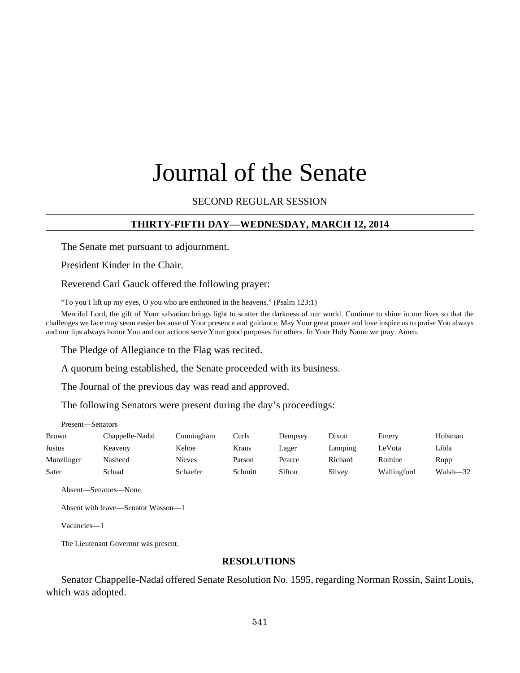# Journal of the Senate

# SECOND REGULAR SESSION

# **THIRTY-FIFTH DAY—WEDNESDAY, MARCH 12, 2014**

The Senate met pursuant to adjournment.

President Kinder in the Chair.

Reverend Carl Gauck offered the following prayer:

"To you I lift up my eyes, O you who are enthroned in the heavens." (Psalm 123:1)

Merciful Lord, the gift of Your salvation brings light to scatter the darkness of our world. Continue to shine in our lives so that the challenges we face may seem easier because of Your presence and guidance. May Your great power and love inspire us to praise You always and our lips always honor You and our actions serve Your good purposes for others. In Your Holy Name we pray. Amen.

The Pledge of Allegiance to the Flag was recited.

A quorum being established, the Senate proceeded with its business.

The Journal of the previous day was read and approved.

The following Senators were present during the day's proceedings:

Present—Senators

| <b>Brown</b> | Chappelle-Nadal | Cunningham | Curls   | Dempsey | Dixon   | Emerv       | Holsman      |
|--------------|-----------------|------------|---------|---------|---------|-------------|--------------|
| Justus       | Keaveny         | Kehoe      | Kraus   | Lager   | Lamping | LeVota      | Libla        |
| Munzlinger   | Nasheed         | Nieves     | Parson  | Pearce  | Richard | Romine      | Rupp         |
| Sater        | Schaaf          | Schaefer   | Schmitt | Sifton  | Silvey  | Wallingford | $Walsh - 32$ |

Absent—Senators—None

Absent with leave—Senator Wasson—1

Vacancies—1

The Lieutenant Governor was present.

## **RESOLUTIONS**

Senator Chappelle-Nadal offered Senate Resolution No. 1595, regarding Norman Rossin, Saint Louis, which was adopted.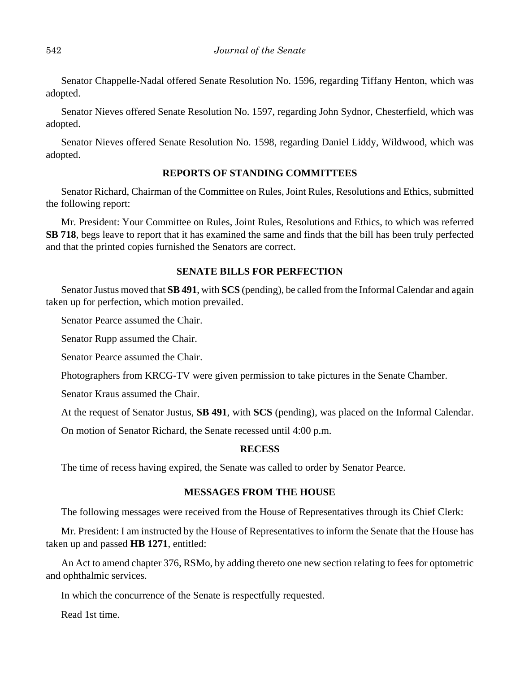Senator Chappelle-Nadal offered Senate Resolution No. 1596, regarding Tiffany Henton, which was adopted.

Senator Nieves offered Senate Resolution No. 1597, regarding John Sydnor, Chesterfield, which was adopted.

Senator Nieves offered Senate Resolution No. 1598, regarding Daniel Liddy, Wildwood, which was adopted.

# **REPORTS OF STANDING COMMITTEES**

Senator Richard, Chairman of the Committee on Rules, Joint Rules, Resolutions and Ethics, submitted the following report:

Mr. President: Your Committee on Rules, Joint Rules, Resolutions and Ethics, to which was referred **SB 718**, begs leave to report that it has examined the same and finds that the bill has been truly perfected and that the printed copies furnished the Senators are correct.

## **SENATE BILLS FOR PERFECTION**

Senator Justus moved that **SB 491**, with **SCS** (pending), be called from the Informal Calendar and again taken up for perfection, which motion prevailed.

Senator Pearce assumed the Chair.

Senator Rupp assumed the Chair.

Senator Pearce assumed the Chair.

Photographers from KRCG-TV were given permission to take pictures in the Senate Chamber.

Senator Kraus assumed the Chair.

At the request of Senator Justus, **SB 491**, with **SCS** (pending), was placed on the Informal Calendar.

On motion of Senator Richard, the Senate recessed until 4:00 p.m.

# **RECESS**

The time of recess having expired, the Senate was called to order by Senator Pearce.

# **MESSAGES FROM THE HOUSE**

The following messages were received from the House of Representatives through its Chief Clerk:

Mr. President: I am instructed by the House of Representatives to inform the Senate that the House has taken up and passed **HB 1271**, entitled:

An Act to amend chapter 376, RSMo, by adding thereto one new section relating to fees for optometric and ophthalmic services.

In which the concurrence of the Senate is respectfully requested.

Read 1st time.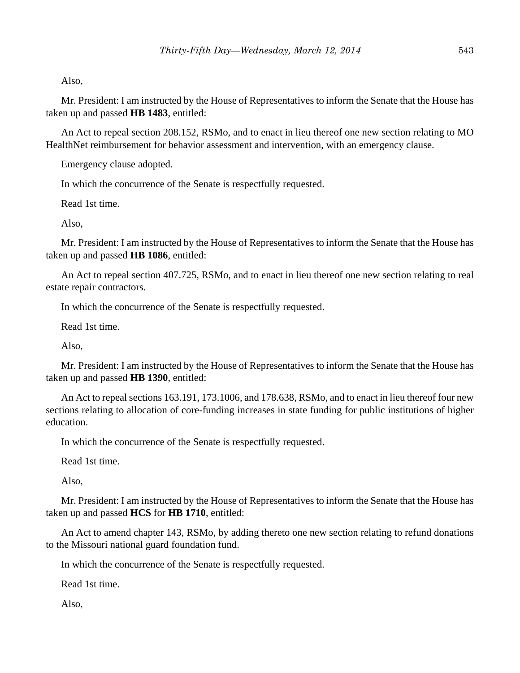Also,

Mr. President: I am instructed by the House of Representatives to inform the Senate that the House has taken up and passed **HB 1483**, entitled:

An Act to repeal section 208.152, RSMo, and to enact in lieu thereof one new section relating to MO HealthNet reimbursement for behavior assessment and intervention, with an emergency clause.

Emergency clause adopted.

In which the concurrence of the Senate is respectfully requested.

Read 1st time.

Also,

Mr. President: I am instructed by the House of Representatives to inform the Senate that the House has taken up and passed **HB 1086**, entitled:

An Act to repeal section 407.725, RSMo, and to enact in lieu thereof one new section relating to real estate repair contractors.

In which the concurrence of the Senate is respectfully requested.

Read 1st time.

Also,

Mr. President: I am instructed by the House of Representatives to inform the Senate that the House has taken up and passed **HB 1390**, entitled:

An Act to repeal sections 163.191, 173.1006, and 178.638, RSMo, and to enact in lieu thereof four new sections relating to allocation of core-funding increases in state funding for public institutions of higher education.

In which the concurrence of the Senate is respectfully requested.

Read 1st time.

Also,

Mr. President: I am instructed by the House of Representatives to inform the Senate that the House has taken up and passed **HCS** for **HB 1710**, entitled:

An Act to amend chapter 143, RSMo, by adding thereto one new section relating to refund donations to the Missouri national guard foundation fund.

In which the concurrence of the Senate is respectfully requested.

Read 1st time.

Also,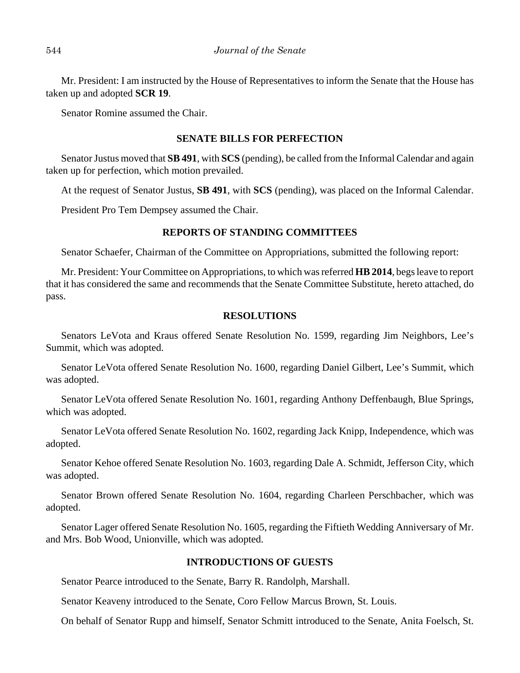Mr. President: I am instructed by the House of Representatives to inform the Senate that the House has taken up and adopted **SCR 19**.

Senator Romine assumed the Chair.

## **SENATE BILLS FOR PERFECTION**

Senator Justus moved that **SB 491**, with **SCS** (pending), be called from the Informal Calendar and again taken up for perfection, which motion prevailed.

At the request of Senator Justus, **SB 491**, with **SCS** (pending), was placed on the Informal Calendar.

President Pro Tem Dempsey assumed the Chair.

# **REPORTS OF STANDING COMMITTEES**

Senator Schaefer, Chairman of the Committee on Appropriations, submitted the following report:

Mr. President: Your Committee on Appropriations, to which was referred **HB 2014**, begs leave to report that it has considered the same and recommends that the Senate Committee Substitute, hereto attached, do pass.

## **RESOLUTIONS**

Senators LeVota and Kraus offered Senate Resolution No. 1599, regarding Jim Neighbors, Lee's Summit, which was adopted.

Senator LeVota offered Senate Resolution No. 1600, regarding Daniel Gilbert, Lee's Summit, which was adopted.

Senator LeVota offered Senate Resolution No. 1601, regarding Anthony Deffenbaugh, Blue Springs, which was adopted.

Senator LeVota offered Senate Resolution No. 1602, regarding Jack Knipp, Independence, which was adopted.

Senator Kehoe offered Senate Resolution No. 1603, regarding Dale A. Schmidt, Jefferson City, which was adopted.

Senator Brown offered Senate Resolution No. 1604, regarding Charleen Perschbacher, which was adopted.

Senator Lager offered Senate Resolution No. 1605, regarding the Fiftieth Wedding Anniversary of Mr. and Mrs. Bob Wood, Unionville, which was adopted.

# **INTRODUCTIONS OF GUESTS**

Senator Pearce introduced to the Senate, Barry R. Randolph, Marshall.

Senator Keaveny introduced to the Senate, Coro Fellow Marcus Brown, St. Louis.

On behalf of Senator Rupp and himself, Senator Schmitt introduced to the Senate, Anita Foelsch, St.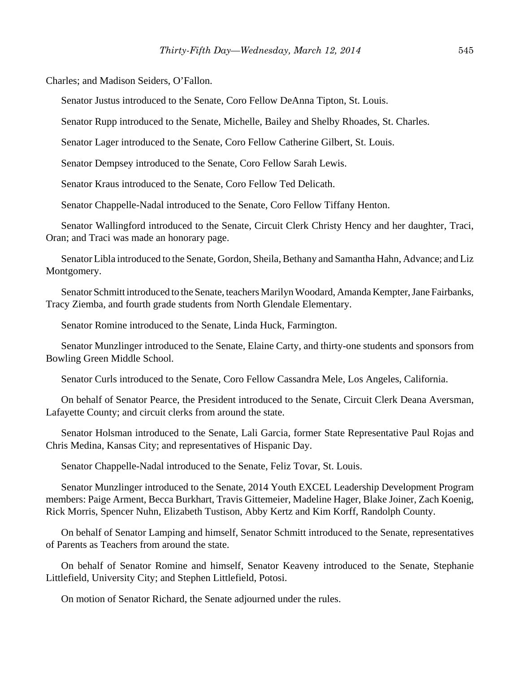Charles; and Madison Seiders, O'Fallon.

Senator Justus introduced to the Senate, Coro Fellow DeAnna Tipton, St. Louis.

Senator Rupp introduced to the Senate, Michelle, Bailey and Shelby Rhoades, St. Charles.

Senator Lager introduced to the Senate, Coro Fellow Catherine Gilbert, St. Louis.

Senator Dempsey introduced to the Senate, Coro Fellow Sarah Lewis.

Senator Kraus introduced to the Senate, Coro Fellow Ted Delicath.

Senator Chappelle-Nadal introduced to the Senate, Coro Fellow Tiffany Henton.

Senator Wallingford introduced to the Senate, Circuit Clerk Christy Hency and her daughter, Traci, Oran; and Traci was made an honorary page.

Senator Libla introduced to the Senate, Gordon, Sheila, Bethany and Samantha Hahn, Advance; and Liz Montgomery.

Senator Schmitt introduced to the Senate, teachers Marilyn Woodard, Amanda Kempter, Jane Fairbanks, Tracy Ziemba, and fourth grade students from North Glendale Elementary.

Senator Romine introduced to the Senate, Linda Huck, Farmington.

Senator Munzlinger introduced to the Senate, Elaine Carty, and thirty-one students and sponsors from Bowling Green Middle School.

Senator Curls introduced to the Senate, Coro Fellow Cassandra Mele, Los Angeles, California.

On behalf of Senator Pearce, the President introduced to the Senate, Circuit Clerk Deana Aversman, Lafayette County; and circuit clerks from around the state.

Senator Holsman introduced to the Senate, Lali Garcia, former State Representative Paul Rojas and Chris Medina, Kansas City; and representatives of Hispanic Day.

Senator Chappelle-Nadal introduced to the Senate, Feliz Tovar, St. Louis.

Senator Munzlinger introduced to the Senate, 2014 Youth EXCEL Leadership Development Program members: Paige Arment, Becca Burkhart, Travis Gittemeier, Madeline Hager, Blake Joiner, Zach Koenig, Rick Morris, Spencer Nuhn, Elizabeth Tustison, Abby Kertz and Kim Korff, Randolph County.

On behalf of Senator Lamping and himself, Senator Schmitt introduced to the Senate, representatives of Parents as Teachers from around the state.

On behalf of Senator Romine and himself, Senator Keaveny introduced to the Senate, Stephanie Littlefield, University City; and Stephen Littlefield, Potosi.

On motion of Senator Richard, the Senate adjourned under the rules.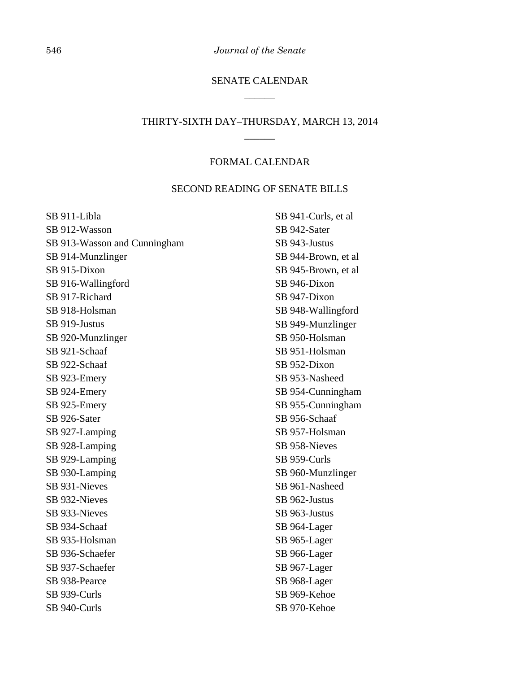546 *Journal of the Senate*

# SENATE CALENDAR \_\_\_\_\_\_

# THIRTY-SIXTH DAY–THURSDAY, MARCH 13, 2014 \_\_\_\_\_\_

## FORMAL CALENDAR

# SECOND READING OF SENATE BILLS

| SB 911-Libla                 |
|------------------------------|
| SB 912-Wasson                |
| SB 913-Wasson and Cunningham |
| SB 914-Munzlinger            |
| SB 915-Dixon                 |
| SB 916-Wallingford           |
| SB 917-Richard               |
| SB 918-Holsman               |
| SB 919-Justus                |
| SB 920-Munzlinger            |
| SB 921-Schaaf                |
| SB 922-Schaaf                |
| SB 923-Emery                 |
| SB 924-Emery                 |
| SB 925-Emery                 |
| SB 926-Sater                 |
| SB 927-Lamping               |
| SB 928-Lamping               |
| SB 929-Lamping               |
| SB 930-Lamping               |
| SB 931-Nieves                |
| SB 932-Nieves                |
| SB 933-Nieves                |
| SB 934-Schaaf                |
| SB 935-Holsman               |
| SB 936-Schaefer              |
| SB 937-Schaefer              |
| SB 938-Pearce                |
| SB 939-Curls                 |
| SB 940-Curls                 |
|                              |

SB 941-Curls, et al SB 942-Sater SB 943-Justus SB 944-Brown, et al SB 945-Brown, et al SB 946-Dixon SB 947-Dixon SB 948-Wallingford SB 949-Munzlinger SB 950-Holsman SB 951-Holsman SB 952-Dixon SB 953-Nasheed SB 954-Cunningham SB 955-Cunningham SB 956-Schaaf SB 957-Holsman SB 958-Nieves SB 959-Curls SB 960-Munzlinger SB 961-Nasheed SB 962-Justus SB 963-Justus SB 964-Lager SB 965-Lager SB 966-Lager SB 967-Lager SB 968-Lager SB 969-Kehoe

SB 970-Kehoe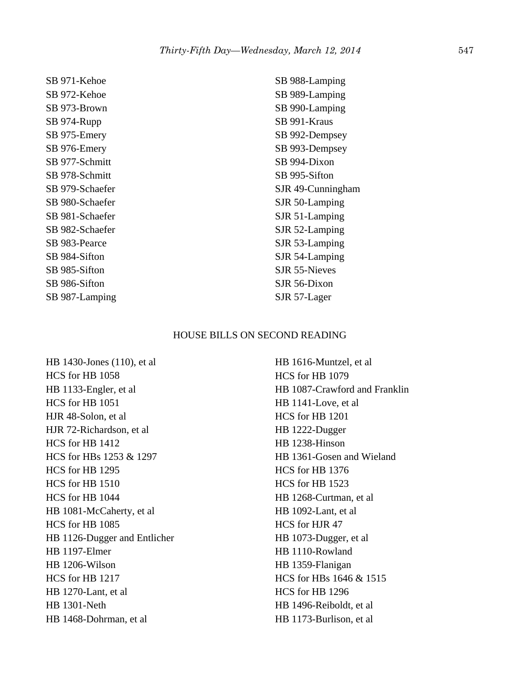SB 971-Kehoe SB 972-Kehoe SB 973-Brown SB 974-Rupp SB 975-Emery SB 976-Emery SB 977-Schmitt SB 978-Schmitt SB 979-Schaefer SB 980-Schaefer SB 981-Schaefer SB 982-Schaefer SB 983-Pearce SB 984-Sifton SB 985-Sifton SB 986-Sifton SB 987-Lamping

SB 988-Lamping SB 989-Lamping SB 990-Lamping SB 991-Kraus SB 992-Dempsey SB 993-Dempsey SB 994-Dixon SB 995-Sifton SJR 49-Cunningham SJR 50-Lamping SJR 51-Lamping SJR 52-Lamping SJR 53-Lamping SJR 54-Lamping SJR 55-Nieves SJR 56-Dixon SJR 57-Lager

#### HOUSE BILLS ON SECOND READING

HB 1430-Jones (110), et al HCS for HB 1058 HB 1133-Engler, et al HCS for HB 1051 HJR 48-Solon, et al HJR 72-Richardson, et al HCS for HB 1412 HCS for HBs 1253 & 1297 HCS for HB 1295 HCS for HB 1510 HCS for HB 1044 HB 1081-McCaherty, et al HCS for HB 1085 HB 1126-Dugger and Entlicher HB 1197-Elmer HB 1206-Wilson HCS for HB 1217 HB 1270-Lant, et al HB 1301-Neth HB 1468-Dohrman, et al

HB 1616-Muntzel, et al HCS for HB 1079 HB 1087-Crawford and Franklin HB 1141-Love, et al HCS for HB 1201 HB 1222-Dugger HB 1238-Hinson HB 1361-Gosen and Wieland HCS for HB 1376 HCS for HB 1523 HB 1268-Curtman, et al HB 1092-Lant, et al HCS for HJR 47 HB 1073-Dugger, et al HB 1110-Rowland HB 1359-Flanigan HCS for HBs 1646 & 1515 HCS for HB 1296 HB 1496-Reiboldt, et al HB 1173-Burlison, et al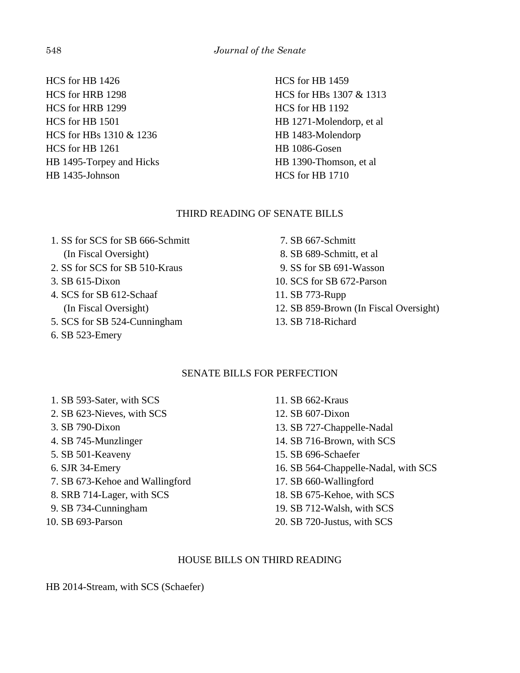HCS for HB 1426 HCS for HRB 1298 HCS for HRB 1299 HCS for HB 1501 HCS for HBs 1310 & 1236 HCS for HB 1261 HB 1495-Torpey and Hicks HB 1435-Johnson

HCS for HB 1459 HCS for HBs 1307 & 1313 HCS for HB 1192 HB 1271-Molendorp, et al HB 1483-Molendorp HB 1086-Gosen HB 1390-Thomson, et al HCS for HB 1710

# THIRD READING OF SENATE BILLS

 1. SS for SCS for SB 666-Schmitt (In Fiscal Oversight) 2. SS for SCS for SB 510-Kraus 3. SB 615-Dixon 4. SCS for SB 612-Schaaf (In Fiscal Oversight)

- 5. SCS for SB 524-Cunningham
- 6. SB 523-Emery

 7. SB 667-Schmitt 8. SB 689-Schmitt, et al 9. SS for SB 691-Wasson 10. SCS for SB 672-Parson 11. SB 773-Rupp 12. SB 859-Brown (In Fiscal Oversight)

13. SB 718-Richard

# SENATE BILLS FOR PERFECTION

- 1. SB 593-Sater, with SCS
- 2. SB 623-Nieves, with SCS
- 3. SB 790-Dixon
- 4. SB 745-Munzlinger
- 5. SB 501-Keaveny
- 6. SJR 34-Emery
- 7. SB 673-Kehoe and Wallingford
- 8. SRB 714-Lager, with SCS
- 9. SB 734-Cunningham
- 10. SB 693-Parson

11. SB 662-Kraus 12. SB 607-Dixon 13. SB 727-Chappelle-Nadal 14. SB 716-Brown, with SCS 15. SB 696-Schaefer 16. SB 564-Chappelle-Nadal, with SCS 17. SB 660-Wallingford 18. SB 675-Kehoe, with SCS 19. SB 712-Walsh, with SCS 20. SB 720-Justus, with SCS

# HOUSE BILLS ON THIRD READING

HB 2014-Stream, with SCS (Schaefer)